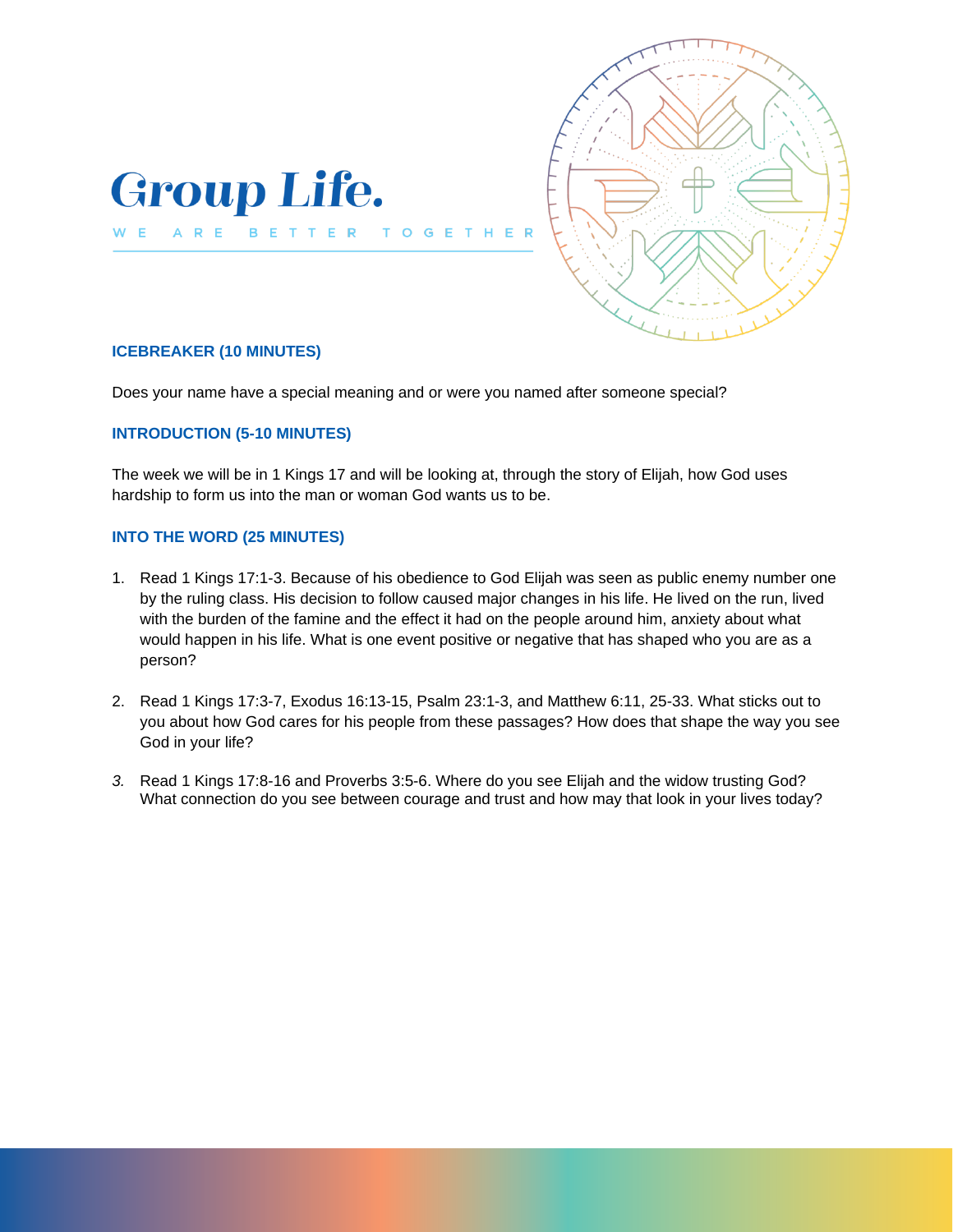



## **ICEBREAKER (10 MINUTES)**

Does your name have a special meaning and or were you named after someone special?

### **INTRODUCTION (5-10 MINUTES)**

The week we will be in 1 Kings 17 and will be looking at, through the story of Elijah, how God uses hardship to form us into the man or woman God wants us to be.

#### **INTO THE WORD (25 MINUTES)**

- 1. Read 1 Kings 17:1-3. Because of his obedience to God Elijah was seen as public enemy number one by the ruling class. His decision to follow caused major changes in his life. He lived on the run, lived with the burden of the famine and the effect it had on the people around him, anxiety about what would happen in his life. What is one event positive or negative that has shaped who you are as a person?
- 2. Read 1 Kings 17:3-7, Exodus 16:13-15, Psalm 23:1-3, and Matthew 6:11, 25-33. What sticks out to you about how God cares for his people from these passages? How does that shape the way you see God in your life?
- *3.* Read 1 Kings 17:8-16 and Proverbs 3:5-6. Where do you see Elijah and the widow trusting God? What connection do you see between courage and trust and how may that look in your lives today?